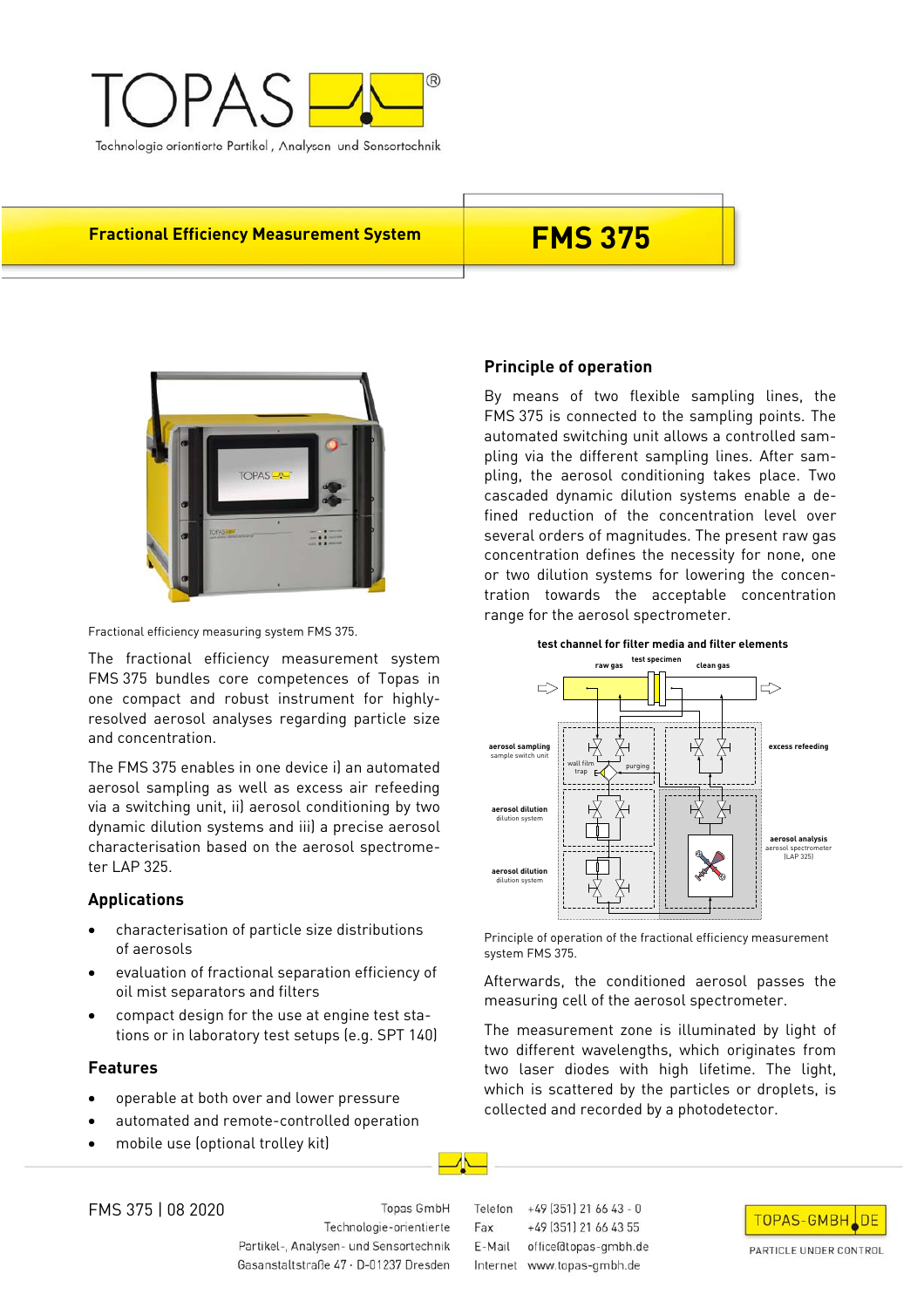

**Fractional Efficiency Measurement System FMS 375** 



Fractional efficiency measuring system FMS 375.

The fractional efficiency measurement system FMS 375 bundles core competences of Topas in one compact and robust instrument for highlyresolved aerosol analyses regarding particle size and concentration.

The FMS 375 enables in one device i) an automated aerosol sampling as well as excess air refeeding via a switching unit, ii) aerosol conditioning by two dynamic dilution systems and iii) a precise aerosol characterisation based on the aerosol spectrometer LAP 325.

## **Applications**

- characterisation of particle size distributions of aerosols
- evaluation of fractional separation efficiency of oil mist separators and filters
- compact design for the use at engine test stations or in laboratory test setups (e.g. SPT 140)

## **Features**

- operable at both over and lower pressure
- automated and remote-controlled operation
- mobile use (optional trolley kit)

# **Principle of operation**

By means of two flexible sampling lines, the FMS 375 is connected to the sampling points. The automated switching unit allows a controlled sampling via the different sampling lines. After sampling, the aerosol conditioning takes place. Two cascaded dynamic dilution systems enable a defined reduction of the concentration level over several orders of magnitudes. The present raw gas concentration defines the necessity for none, one or two dilution systems for lowering the concentration towards the acceptable concentration range for the aerosol spectrometer.



Principle of operation of the fractional efficiency measurement system FMS 375.

Afterwards, the conditioned aerosol passes the measuring cell of the aerosol spectrometer.

The measurement zone is illuminated by light of two different wavelengths, which originates from two laser diodes with high lifetime. The light, which is scattered by the particles or droplets, is collected and recorded by a photodetector.

FMS 375 | 08 2020

Topas GmbH Technologie-orientierte Partikel-, Analysen- und Sensortechnik Gasanstaltstraße 47 · D-01237 Dresden

Telefon +49 (351) 21 66 43 - 0 +49 (351) 21 66 43 55 Fax E-Mail office@topas-gmbh.de Internet www.topas-gmbh.de